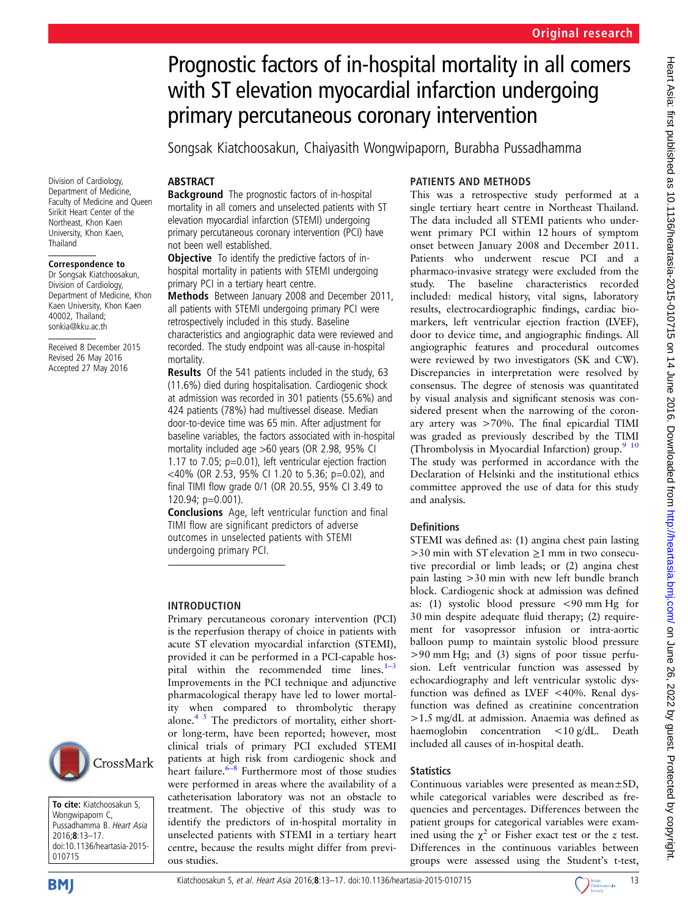# Prognostic factors of in-hospital mortality in all comers with ST elevation myocardial infarction undergoing primary percutaneous coronary intervention

Songsak Kiatchoosakun, Chaiyasith Wongwipaporn, Burabha Pussadhamma

# **ABSTRACT**

Background The prognostic factors of in-hospital mortality in all comers and unselected patients with ST elevation myocardial infarction (STEMI) undergoing primary percutaneous coronary intervention (PCI) have not been well established.

**Objective** To identify the predictive factors of inhospital mortality in patients with STEMI undergoing primary PCI in a tertiary heart centre.

Methods Between January 2008 and December 2011, all patients with STEMI undergoing primary PCI were retrospectively included in this study. Baseline characteristics and angiographic data were reviewed and recorded. The study endpoint was all-cause in-hospital mortality.

Results Of the 541 patients included in the study, 63 (11.6%) died during hospitalisation. Cardiogenic shock at admission was recorded in 301 patients (55.6%) and 424 patients (78%) had multivessel disease. Median door-to-device time was 65 min. After adjustment for baseline variables, the factors associated with in-hospital mortality included age >60 years (OR 2.98, 95% CI 1.17 to 7.05; p=0.01), left ventricular ejection fraction <40% (OR 2.53, 95% CI 1.20 to 5.36; p=0.02), and final TIMI flow grade 0/1 (OR 20.55, 95% CI 3.49 to 120.94; p=0.001).

Conclusions Age, left ventricular function and final TIMI flow are significant predictors of adverse outcomes in unselected patients with STEMI undergoing primary PCI.

## INTRODUCTION

Primary percutaneous coronary intervention (PCI) is the reperfusion therapy of choice in patients with acute ST elevation myocardial infarction (STEMI), provided it can be performed in a PCI-capable hospital within the recommended time lines. $1-3$  $1-3$ Improvements in the PCI technique and adjunctive pharmacological therapy have led to lower mortality when compared to thrombolytic therapy alone.<sup>4 5</sup> The predictors of mortality, either shortor long-term, have been reported; however, most clinical trials of primary PCI excluded STEMI patients at high risk from cardiogenic shock and heart failure. $6-8$  $6-8$  Furthermore most of those studies were performed in areas where the availability of a catheterisation laboratory was not an obstacle to treatment. The objective of this study was to identify the predictors of in-hospital mortality in unselected patients with STEMI in a tertiary heart centre, because the results might differ from previous studies.

# PATIENTS AND METHODS

This was a retrospective study performed at a single tertiary heart centre in Northeast Thailand. The data included all STEMI patients who underwent primary PCI within 12 hours of symptom onset between January 2008 and December 2011. Patients who underwent rescue PCI and a pharmaco-invasive strategy were excluded from the study. The baseline characteristics recorded included: medical history, vital signs, laboratory results, electrocardiographic findings, cardiac biomarkers, left ventricular ejection fraction (LVEF), door to device time, and angiographic findings. All angiographic features and procedural outcomes were reviewed by two investigators (SK and CW). Discrepancies in interpretation were resolved by consensus. The degree of stenosis was quantitated by visual analysis and significant stenosis was considered present when the narrowing of the coronary artery was >70%. The final epicardial TIMI was graded as previously described by the TIMI (Thrombolysis in Myocardial Infarction) group.<sup>9</sup> <sup>10</sup> The study was performed in accordance with the Declaration of Helsinki and the institutional ethics committee approved the use of data for this study and analysis.

## **Definitions**

STEMI was defined as: (1) angina chest pain lasting  $>30$  min with ST elevation  $\geq$ 1 mm in two consecutive precordial or limb leads; or (2) angina chest pain lasting >30 min with new left bundle branch block. Cardiogenic shock at admission was defined as: (1) systolic blood pressure <90 mm Hg for 30 min despite adequate fluid therapy; (2) requirement for vasopressor infusion or intra-aortic balloon pump to maintain systolic blood pressure >90 mm Hg; and (3) signs of poor tissue perfusion. Left ventricular function was assessed by echocardiography and left ventricular systolic dysfunction was defined as LVEF <40%. Renal dysfunction was defined as creatinine concentration >1.5 mg/dL at admission. Anaemia was defined as haemoglobin concentration <10 g/dL. Death included all causes of in-hospital death.

#### **Statistics**

Continuous variables were presented as mean±SD, while categorical variables were described as frequencies and percentages. Differences between the patient groups for categorical variables were examined using the  $\chi^2$  or Fisher exact test or the z test. Differences in the continuous variables between groups were assessed using the Student's t-test,

Division of Cardiology, Department of Medicine, Faculty of Medicine and Queen Sirikit Heart Center of the Northeast, Khon Kaen University, Khon Kaen, Thailand

#### Correspondence to

Dr Songsak Kiatchoosakun, Division of Cardiology, Department of Medicine, Khon Kaen University, Khon Kaen 40002, Thailand; sonkia@kku.ac.th

Received 8 December 2015 Revised 26 May 2016 Accepted 27 May 2016



To cite: Kiatchoosakun S, Wongwipaporn C, Pussadhamma B. Heart Asia 2016;8:13–17. doi:10.1136/heartasia-2015- 010715



Heart Asia: first published as 10.1136/heartasia-2015-010715 on 14 June 2016. Downloaded from http://heartasia.bmj.com/ on June 26, 2022 by guest. Protected by copyright Heart Asia: first published as 10.1136/heartasia-2015-010175 on 14 June 2016. Downloaded from Hom <http://heartasia.bmj.com/> on June 26, 2022 by guest. Protected by copyright.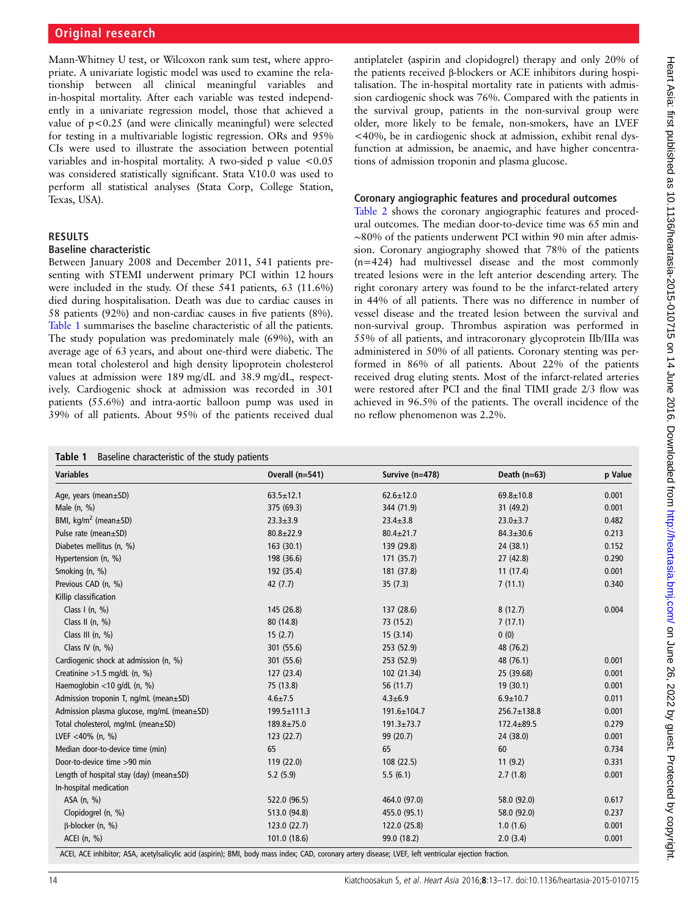Mann-Whitney U test, or Wilcoxon rank sum test, where appropriate. A univariate logistic model was used to examine the relationship between all clinical meaningful variables and in-hospital mortality. After each variable was tested independently in a univariate regression model, those that achieved a value of p<0.25 (and were clinically meaningful) were selected for testing in a multivariable logistic regression. ORs and 95% CIs were used to illustrate the association between potential variables and in-hospital mortality. A two-sided p value <0.05 was considered statistically significant. Stata V.10.0 was used to perform all statistical analyses (Stata Corp, College Station, Texas, USA).

#### RESULTS

#### Baseline characteristic

Between January 2008 and December 2011, 541 patients presenting with STEMI underwent primary PCI within 12 hours were included in the study. Of these 541 patients, 63 (11.6%) died during hospitalisation. Death was due to cardiac causes in 58 patients (92%) and non-cardiac causes in five patients (8%). Table 1 summarises the baseline characteristic of all the patients. The study population was predominately male (69%), with an average age of 63 years, and about one-third were diabetic. The mean total cholesterol and high density lipoprotein cholesterol values at admission were 189 mg/dL and 38.9 mg/dL, respectively. Cardiogenic shock at admission was recorded in 301 patients (55.6%) and intra-aortic balloon pump was used in 39% of all patients. About 95% of the patients received dual

antiplatelet (aspirin and clopidogrel) therapy and only 20% of the patients received β-blockers or ACE inhibitors during hospitalisation. The in-hospital mortality rate in patients with admission cardiogenic shock was 76%. Compared with the patients in the survival group, patients in the non-survival group were older, more likely to be female, non-smokers, have an LVEF <40%, be in cardiogenic shock at admission, exhibit renal dysfunction at admission, be anaemic, and have higher concentrations of admission troponin and plasma glucose.

### Coronary angiographic features and procedural outcomes

[Table 2](#page-2-0) shows the coronary angiographic features and procedural outcomes. The median door-to-device time was 65 min and ∼80% of the patients underwent PCI within 90 min after admission. Coronary angiography showed that 78% of the patients (n=424) had multivessel disease and the most commonly treated lesions were in the left anterior descending artery. The right coronary artery was found to be the infarct-related artery in 44% of all patients. There was no difference in number of vessel disease and the treated lesion between the survival and non-survival group. Thrombus aspiration was performed in 55% of all patients, and intracoronary glycoprotein IIb/IIIa was administered in 50% of all patients. Coronary stenting was performed in 86% of all patients. About 22% of the patients received drug eluting stents. Most of the infarct-related arteries were restored after PCI and the final TIMI grade 2/3 flow was achieved in 96.5% of the patients. The overall incidence of the no reflow phenomenon was 2.2%.

| Table 1 |  | Baseline characteristic of the study patients |  |  |  |
|---------|--|-----------------------------------------------|--|--|--|
|---------|--|-----------------------------------------------|--|--|--|

| <b>Variables</b>                              | Overall (n=541) | Survive (n=478)  | Death $(n=63)$   | p Value |
|-----------------------------------------------|-----------------|------------------|------------------|---------|
| Age, years (mean±SD)                          | $63.5 \pm 12.1$ | $62.6 \pm 12.0$  | $69.8 + 10.8$    | 0.001   |
| Male $(n, %)$                                 | 375 (69.3)      | 344 (71.9)       | 31 (49.2)        | 0.001   |
| BMI, $\text{kg/m}^2$ (mean $\pm$ SD)          | $23.3 \pm 3.9$  | $23.4 \pm 3.8$   | $23.0 \pm 3.7$   | 0.482   |
| Pulse rate (mean±SD)                          | $80.8 \pm 22.9$ | $80.4 \pm 21.7$  | $84.3 \pm 30.6$  | 0.213   |
| Diabetes mellitus (n, %)                      | 163 (30.1)      | 139 (29.8)       | 24 (38.1)        | 0.152   |
| Hypertension (n, %)                           | 198 (36.6)      | 171 (35.7)       | 27(42.8)         | 0.290   |
| Smoking (n, %)                                | 192 (35.4)      | 181 (37.8)       | 11(17.4)         | 0.001   |
| Previous CAD (n, %)                           | 42(7.7)         | 35(7.3)          | 7(11.1)          | 0.340   |
| Killip classification                         |                 |                  |                  |         |
| Class I (n, $\%$ )                            | 145 (26.8)      | 137 (28.6)       | 8(12.7)          | 0.004   |
| Class II $(n, %)$                             | 80 (14.8)       | 73 (15.2)        | 7(17.1)          |         |
| Class III (n, %)                              | 15(2.7)         | 15(3.14)         | 0(0)             |         |
| Class IV $(n, %)$                             | 301 (55.6)      | 253 (52.9)       | 48 (76.2)        |         |
| Cardiogenic shock at admission (n, %)         | 301 (55.6)      | 253 (52.9)       | 48 (76.1)        | 0.001   |
| Creatinine $>1.5$ mg/dL (n, %)                | 127(23.4)       | 102 (21.34)      | 25 (39.68)       | 0.001   |
| Haemoglobin <10 g/dL (n, %)                   | 75 (13.8)       | 56 (11.7)        | 19 (30.1)        | 0.001   |
| Admission troponin T, ng/mL (mean±SD)         | $4.6 \pm 7.5$   | $4.3 + 6.9$      | $6.9 + 10.7$     | 0.011   |
| Admission plasma glucose, mg/mL (mean±SD)     | 199.5±111.3     | 191.6±104.7      | 256.7±138.8      | 0.001   |
| Total cholesterol, mg/mL (mean±SD)            | 189.8±75.0      | $191.3 \pm 73.7$ | $172.4 \pm 89.5$ | 0.279   |
| LVEF <40% (n, %)                              | 123(22.7)       | 99 (20.7)        | 24 (38.0)        | 0.001   |
| Median door-to-device time (min)              | 65              | 65               | 60               | 0.734   |
| Door-to-device time >90 min                   | 119 (22.0)      | 108 (22.5)       | 11(9.2)          | 0.331   |
| Length of hospital stay (day) (mean $\pm$ SD) | 5.2(5.9)        | 5.5(6.1)         | 2.7(1.8)         | 0.001   |
| In-hospital medication                        |                 |                  |                  |         |
| ASA (n, %)                                    | 522.0 (96.5)    | 464.0 (97.0)     | 58.0 (92.0)      | 0.617   |
| Clopidogrel (n, %)                            | 513.0 (94.8)    | 455.0 (95.1)     | 58.0 (92.0)      | 0.237   |
| B-blocker (n, %)                              | 123.0(22.7)     | 122.0 (25.8)     | 1.0(1.6)         | 0.001   |
| ACEI (n, %)                                   | 101.0 (18.6)    | 99.0 (18.2)      | 2.0(3.4)         | 0.001   |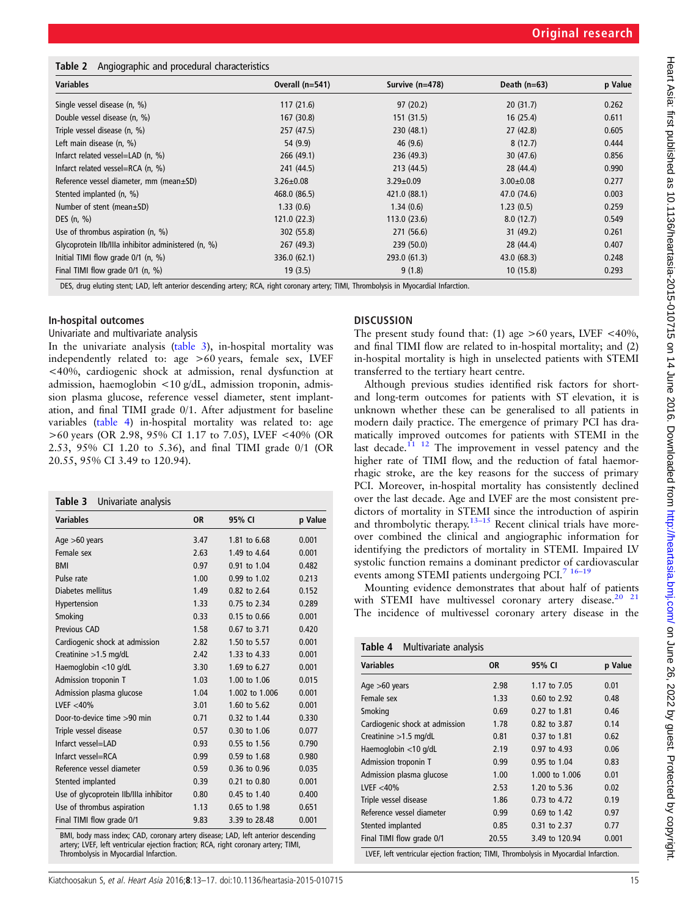#### <span id="page-2-0"></span>Table 2 Angiographic and procedural characteristics

| <b>Variables</b>                                    | Overall $(n=541)$ | Survive (n=478) | Death $(n=63)$  | p Value |
|-----------------------------------------------------|-------------------|-----------------|-----------------|---------|
| Single vessel disease (n, %)                        | 117(21.6)         | 97(20.2)        | 20(31.7)        | 0.262   |
| Double vessel disease (n, %)                        | 167(30.8)         | 151 (31.5)      | 16(25.4)        | 0.611   |
| Triple vessel disease (n, %)                        | 257 (47.5)        | 230 (48.1)      | 27(42.8)        | 0.605   |
| Left main disease (n, %)                            | 54 (9.9)          | 46(9.6)         | 8(12.7)         | 0.444   |
| Infarct related vessel=LAD $(n, %)$                 | 266(49.1)         | 236 (49.3)      | 30(47.6)        | 0.856   |
| Infarct related vessel=RCA $(n, %)$                 | 241 (44.5)        | 213 (44.5)      | 28 (44.4)       | 0.990   |
| Reference vessel diameter, mm (mean±SD)             | $3.26 \pm 0.08$   | $3.29 \pm 0.09$ | $3.00 \pm 0.08$ | 0.277   |
| Stented implanted (n, %)                            | 468.0 (86.5)      | 421.0 (88.1)    | 47.0 (74.6)     | 0.003   |
| Number of stent (mean $\pm$ SD)                     | 1.33(0.6)         | 1.34(0.6)       | 1.23(0.5)       | 0.259   |
| DES $(n, %)$                                        | 121.0(22.3)       | 113.0(23.6)     | 8.0(12.7)       | 0.549   |
| Use of thrombus aspiration $(n, %)$                 | 302(55.8)         | 271 (56.6)      | 31(49.2)        | 0.261   |
| Glycoprotein Ilb/Illa inhibitor administered (n, %) | 267(49.3)         | 239 (50.0)      | 28 (44.4)       | 0.407   |
| Initial TIMI flow grade $0/1$ (n, %)                | 336.0(62.1)       | 293.0 (61.3)    | 43.0(68.3)      | 0.248   |
| Final TIMI flow grade $0/1$ (n, %)                  | 19(3.5)           | 9(1.8)          | 10(15.8)        | 0.293   |

DES, drug eluting stent; LAD, left anterior descending artery; RCA, right coronary artery; TIMI, Thrombolysis in Myocardial Infarction.

#### In-hospital outcomes

#### Univariate and multivariate analysis

In the univariate analysis (table 3), in-hospital mortality was independently related to: age >60 years, female sex, LVEF <40%, cardiogenic shock at admission, renal dysfunction at admission, haemoglobin <10 g/dL, admission troponin, admission plasma glucose, reference vessel diameter, stent implantation, and final TIMI grade 0/1. After adjustment for baseline variables (table 4) in-hospital mortality was related to: age >60 years (OR 2.98, 95% CI 1.17 to 7.05), LVEF <40% (OR 2.53, 95% CI 1.20 to 5.36), and final TIMI grade 0/1 (OR 20.55, 95% CI 3.49 to 120.94).

| Table 3 Univariate analysis            |           |                  |         |  |  |
|----------------------------------------|-----------|------------------|---------|--|--|
| <b>Variables</b>                       | <b>OR</b> | 95% CI           | p Value |  |  |
| Age $>60$ years                        | 3.47      | 1.81 to 6.68     | 0.001   |  |  |
| Female sex                             | 2.63      | 1.49 to 4.64     | 0.001   |  |  |
| <b>BMI</b>                             | 0.97      | 0.91 to 1.04     | 0.482   |  |  |
| Pulse rate                             | 1.00      | 0.99 to 1.02     | 0.213   |  |  |
| Diabetes mellitus                      | 1.49      | 0.82 to 2.64     | 0.152   |  |  |
| Hypertension                           | 1.33      | 0.75 to 2.34     | 0.289   |  |  |
| Smoking                                | 0.33      | $0.15$ to $0.66$ | 0.001   |  |  |
| Previous CAD                           | 1.58      | 0.67 to 3.71     | 0.420   |  |  |
| Cardiogenic shock at admission         | 2.82      | 1.50 to 5.57     | 0.001   |  |  |
| Creatinine >1.5 mg/dL                  | 7.42      | 1.33 to 4.33     | 0.001   |  |  |
| Haemoglobin <10 g/dL                   | 3.30      | 1.69 to 6.27     | 0.001   |  |  |
| Admission troponin T                   | 1.03      | 1.00 to 1.06     | 0.015   |  |  |
| Admission plasma glucose               | 1.04      | 1.002 to 1.006   | 0.001   |  |  |
| LVEF $<$ 40%                           | 3.01      | 1.60 to 5.62     | 0.001   |  |  |
| Door-to-device time >90 min            | 0.71      | 0.32 to 1.44     | 0.330   |  |  |
| Triple vessel disease                  | 0.57      | 0.30 to 1.06     | 0.077   |  |  |
| Infarct vessel=LAD                     | 0.93      | 0.55 to 1.56     | 0.790   |  |  |
| Infarct vessel=RCA                     | 0.99      | $0.59$ to $1.68$ | 0.980   |  |  |
| Reference vessel diameter              | 0.59      | 0.36 to 0.96     | 0.035   |  |  |
| Stented implanted                      | 0.39      | 0.21 to 0.80     | 0.001   |  |  |
| Use of glycoprotein Ilb/Illa inhibitor | 0.80      | 0.45 to 1.40     | 0.400   |  |  |
| Use of thrombus aspiration             | 1.13      | $0.65$ to $1.98$ | 0.651   |  |  |
| Final TIMI flow grade 0/1              | 9.83      | 3.39 to 28.48    | 0.001   |  |  |

BMI, body mass index; CAD, coronary artery disease; LAD, left anterior descending artery; LVEF, left ventricular ejection fraction; RCA, right coronary artery; TIMI, Thrombolysis in Myocardial Infarction.

#### **DISCUSSION**

The present study found that: (1) age  $>60$  years, LVEF <40%, and final TIMI flow are related to in-hospital mortality; and (2) in-hospital mortality is high in unselected patients with STEMI transferred to the tertiary heart centre.

Although previous studies identified risk factors for shortand long-term outcomes for patients with ST elevation, it is unknown whether these can be generalised to all patients in modern daily practice. The emergence of primary PCI has dramatically improved outcomes for patients with STEMI in the last decade.<sup> $11$  12</sup> The improvement in vessel patency and the higher rate of TIMI flow, and the reduction of fatal haemorrhagic stroke, are the key reasons for the success of primary PCI. Moreover, in-hospital mortality has consistently declined over the last decade. Age and LVEF are the most consistent predictors of mortality in STEMI since the introduction of aspirin and thrombolytic therapy. $13-15$  $13-15$  Recent clinical trials have moreover combined the clinical and angiographic information for identifying the predictors of mortality in STEMI. Impaired LV systolic function remains a dominant predictor of cardiovascular events among STEMI patients undergoing PCI.<sup>7</sup> <sup>16-19</sup>

Mounting evidence demonstrates that about half of patients with STEMI have multivessel coronary artery disease.<sup>20</sup> <sup>21</sup> The incidence of multivessel coronary artery disease in the

| Multivariate analysis<br>Table 4 |       |                |         |  |
|----------------------------------|-------|----------------|---------|--|
| <b>Variables</b>                 | 0R    | 95% CI         | p Value |  |
| Age $>60$ years                  | 2.98  | 1.17 to 7.05   | 0.01    |  |
| Female sex                       | 1.33  | 0.60 to 2.92   | 0.48    |  |
| Smoking                          | 0.69  | 0.27 to 1.81   | 0.46    |  |
| Cardiogenic shock at admission   | 1.78  | 0.82 to 3.87   | 0.14    |  |
| Creatinine $>1.5$ mg/dL          | 0.81  | 0.37 to 1.81   | 0.62    |  |
| Haemoglobin <10 g/dL             | 2.19  | 0.97 to 4.93   | 0.06    |  |
| Admission troponin T             | 0.99  | 0.95 to 1.04   | 0.83    |  |
| Admission plasma glucose         | 1.00  | 1.000 to 1.006 | 0.01    |  |
| LVEF $<$ 40%                     | 2.53  | 1.20 to 5.36   | 0.02    |  |
| Triple vessel disease            | 1.86  | 0.73 to 4.72   | 0.19    |  |
| Reference vessel diameter        | 0.99  | 0.69 to 1.42   | 0.97    |  |
| Stented implanted                | 0.85  | 0.31 to 2.37   | 0.77    |  |
| Final TIMI flow grade 0/1        | 20.55 | 3.49 to 120.94 | 0.001   |  |

LVEF, left ventricular ejection fraction; TIMI, Thrombolysis in Myocardial Infarction.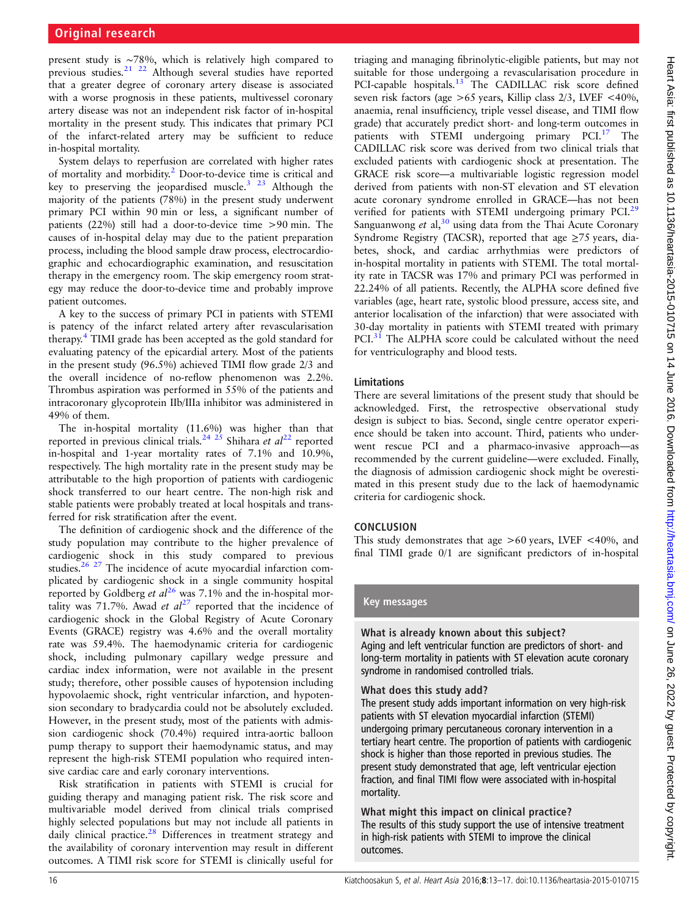present study is ∼78%, which is relatively high compared to previous studies.[21 22](#page-4-0) Although several studies have reported that a greater degree of coronary artery disease is associated with a worse prognosis in these patients, multivessel coronary artery disease was not an independent risk factor of in-hospital mortality in the present study. This indicates that primary PCI of the infarct-related artery may be sufficient to reduce in-hospital mortality.

System delays to reperfusion are correlated with higher rates of mortality and morbidity.[2](#page-4-0) Door-to-device time is critical and key to preserving the jeopardised muscle.<sup>[3 23](#page-4-0)</sup> Although the majority of the patients (78%) in the present study underwent primary PCI within 90 min or less, a significant number of patients (22%) still had a door-to-device time >90 min. The causes of in-hospital delay may due to the patient preparation process, including the blood sample draw process, electrocardiographic and echocardiographic examination, and resuscitation therapy in the emergency room. The skip emergency room strategy may reduce the door-to-device time and probably improve patient outcomes.

A key to the success of primary PCI in patients with STEMI is patency of the infarct related artery after revascularisation therapy.[4](#page-4-0) TIMI grade has been accepted as the gold standard for evaluating patency of the epicardial artery. Most of the patients in the present study (96.5%) achieved TIMI flow grade 2/3 and the overall incidence of no-reflow phenomenon was 2.2%. Thrombus aspiration was performed in 55% of the patients and intracoronary glycoprotein IIb/IIIa inhibitor was administered in 49% of them.

The in-hospital mortality (11.6%) was higher than that reported in previous clinical trials.<sup>[24 25](#page-4-0)</sup> Shihara et  $al^{22}$  $al^{22}$  $al^{22}$  reported in-hospital and 1-year mortality rates of 7.1% and 10.9%, respectively. The high mortality rate in the present study may be attributable to the high proportion of patients with cardiogenic shock transferred to our heart centre. The non-high risk and stable patients were probably treated at local hospitals and transferred for risk stratification after the event.

The definition of cardiogenic shock and the difference of the study population may contribute to the higher prevalence of cardiogenic shock in this study compared to previous studies.[26 27](#page-4-0) The incidence of acute myocardial infarction complicated by cardiogenic shock in a single community hospital reported by Goldberg et  $al^{26}$  $al^{26}$  $al^{26}$  was 7.1% and the in-hospital mortality was 71.7%. Awad et  $al^{27}$  $al^{27}$  $al^{27}$  reported that the incidence of cardiogenic shock in the Global Registry of Acute Coronary Events (GRACE) registry was 4.6% and the overall mortality rate was 59.4%. The haemodynamic criteria for cardiogenic shock, including pulmonary capillary wedge pressure and cardiac index information, were not available in the present study; therefore, other possible causes of hypotension including hypovolaemic shock, right ventricular infarction, and hypotension secondary to bradycardia could not be absolutely excluded. However, in the present study, most of the patients with admission cardiogenic shock (70.4%) required intra-aortic balloon pump therapy to support their haemodynamic status, and may represent the high-risk STEMI population who required intensive cardiac care and early coronary interventions.

Risk stratification in patients with STEMI is crucial for guiding therapy and managing patient risk. The risk score and multivariable model derived from clinical trials comprised highly selected populations but may not include all patients in daily clinical practice. $28$  Differences in treatment strategy and the availability of coronary intervention may result in different outcomes. A TIMI risk score for STEMI is clinically useful for

triaging and managing fibrinolytic-eligible patients, but may not suitable for those undergoing a revascularisation procedure in PCI-capable hospitals.<sup>[13](#page-4-0)</sup> The CADILLAC risk score defined seven risk factors (age  $>65$  years, Killip class 2/3, LVEF <40%, anaemia, renal insufficiency, triple vessel disease, and TIMI flow grade) that accurately predict short- and long-term outcomes in patients with STEMI undergoing primary PCI.<sup>[17](#page-4-0)</sup> The CADILLAC risk score was derived from two clinical trials that excluded patients with cardiogenic shock at presentation. The GRACE risk score—a multivariable logistic regression model derived from patients with non-ST elevation and ST elevation acute coronary syndrome enrolled in GRACE—has not been verified for patients with STEMI undergoing primary PCI.<sup>[29](#page-4-0)</sup> Sanguanwong et al,  $30$  using data from the Thai Acute Coronary Syndrome Registry (TACSR), reported that age  $\geq$ 75 years, diabetes, shock, and cardiac arrhythmias were predictors of in-hospital mortality in patients with STEMI. The total mortality rate in TACSR was 17% and primary PCI was performed in 22.24% of all patients. Recently, the ALPHA score defined five variables (age, heart rate, systolic blood pressure, access site, and anterior localisation of the infarction) that were associated with 30-day mortality in patients with STEMI treated with primary PCI.<sup>31</sup> The ALPHA score could be calculated without the need for ventriculography and blood tests.

#### Limitations

There are several limitations of the present study that should be acknowledged. First, the retrospective observational study design is subject to bias. Second, single centre operator experience should be taken into account. Third, patients who underwent rescue PCI and a pharmaco-invasive approach—as recommended by the current guideline—were excluded. Finally, the diagnosis of admission cardiogenic shock might be overestimated in this present study due to the lack of haemodynamic criteria for cardiogenic shock.

#### **CONCLUSION**

This study demonstrates that age  $>60$  years, LVEF <40%, and final TIMI grade 0/1 are significant predictors of in-hospital

#### Key messages

# What is already known about this subject? Aging and left ventricular function are predictors of short- and

long-term mortality in patients with ST elevation acute coronary syndrome in randomised controlled trials.

#### What does this study add?

The present study adds important information on very high-risk patients with ST elevation myocardial infarction (STEMI) undergoing primary percutaneous coronary intervention in a tertiary heart centre. The proportion of patients with cardiogenic shock is higher than those reported in previous studies. The present study demonstrated that age, left ventricular ejection fraction, and final TIMI flow were associated with in-hospital mortality.

#### What might this impact on clinical practice? The results of this study support the use of intensive treatment in high-risk patients with STEMI to improve the clinical outcomes.